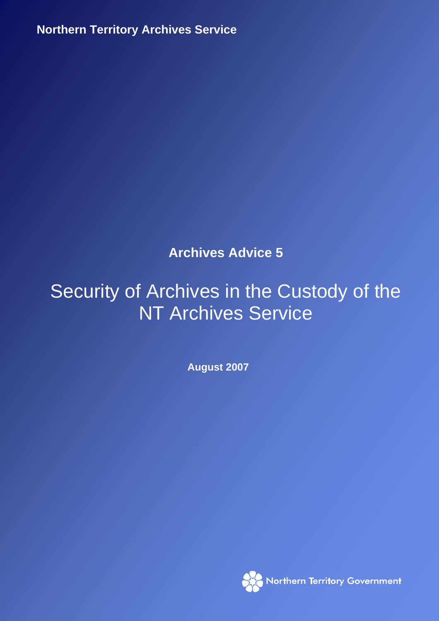**Northern Territory Archives Service August 2007 1998** 

**Archives Advice 5** 

# Security of Archives in the Custody of the NT Archives Service

**August 2007** 

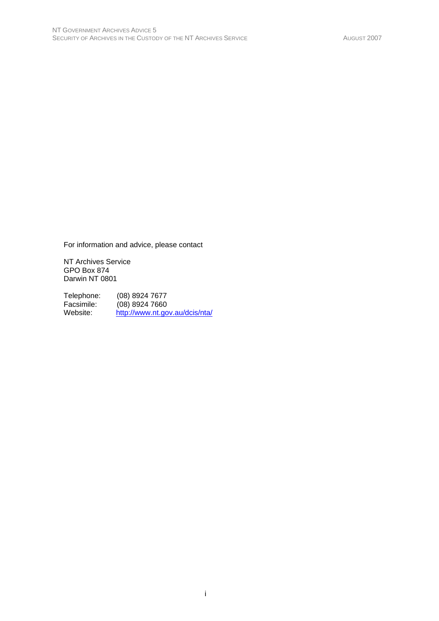For information and advice, please contact

NT Archives Service GPO Box 874 Darwin NT 0801

Telephone: (08) 8924 7677<br>Facsimile: (08) 8924 7660 Facsimile: (08) 8924 7660<br>Website: http://www.nt.go http://www.nt.gov.au/dcis/nta/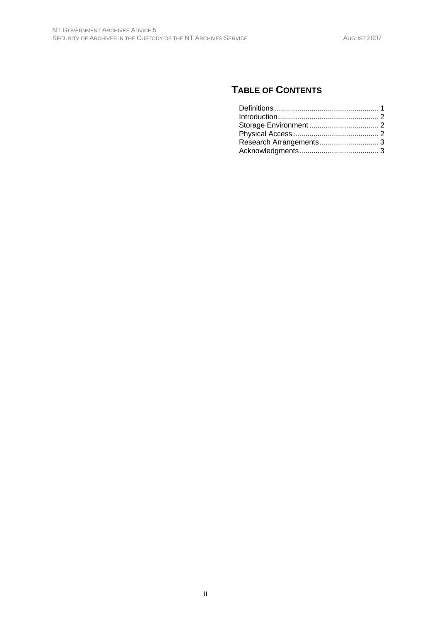# **TABLE OF CONTENTS**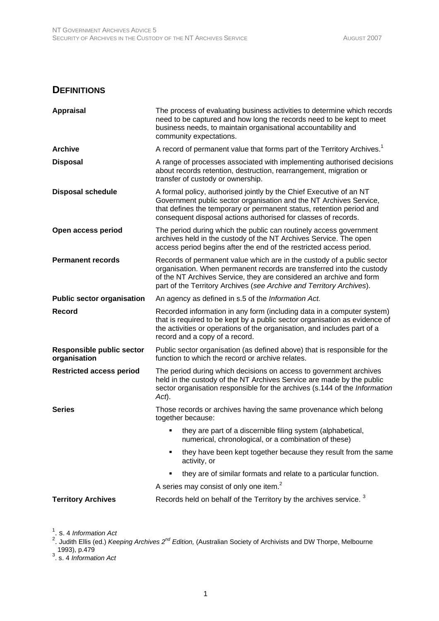#### **DEFINITIONS**

| <b>Appraisal</b>                                 | The process of evaluating business activities to determine which records<br>need to be captured and how long the records need to be kept to meet<br>business needs, to maintain organisational accountability and<br>community expectations.                                                   |
|--------------------------------------------------|------------------------------------------------------------------------------------------------------------------------------------------------------------------------------------------------------------------------------------------------------------------------------------------------|
| <b>Archive</b>                                   | A record of permanent value that forms part of the Territory Archives. <sup>1</sup>                                                                                                                                                                                                            |
| <b>Disposal</b>                                  | A range of processes associated with implementing authorised decisions<br>about records retention, destruction, rearrangement, migration or<br>transfer of custody or ownership.                                                                                                               |
| <b>Disposal schedule</b>                         | A formal policy, authorised jointly by the Chief Executive of an NT<br>Government public sector organisation and the NT Archives Service,<br>that defines the temporary or permanent status, retention period and<br>consequent disposal actions authorised for classes of records.            |
| Open access period                               | The period during which the public can routinely access government<br>archives held in the custody of the NT Archives Service. The open<br>access period begins after the end of the restricted access period.                                                                                 |
| <b>Permanent records</b>                         | Records of permanent value which are in the custody of a public sector<br>organisation. When permanent records are transferred into the custody<br>of the NT Archives Service, they are considered an archive and form<br>part of the Territory Archives (see Archive and Territory Archives). |
| <b>Public sector organisation</b>                | An agency as defined in s.5 of the Information Act.                                                                                                                                                                                                                                            |
| <b>Record</b>                                    | Recorded information in any form (including data in a computer system)<br>that is required to be kept by a public sector organisation as evidence of<br>the activities or operations of the organisation, and includes part of a<br>record and a copy of a record.                             |
| <b>Responsible public sector</b><br>organisation | Public sector organisation (as defined above) that is responsible for the<br>function to which the record or archive relates.                                                                                                                                                                  |
| <b>Restricted access period</b>                  | The period during which decisions on access to government archives<br>held in the custody of the NT Archives Service are made by the public<br>sector organisation responsible for the archives (s.144 of the Information<br>$Act$ ).                                                          |
| <b>Series</b>                                    | Those records or archives having the same provenance which belong<br>together because:                                                                                                                                                                                                         |
|                                                  | they are part of a discernible filing system (alphabetical,<br>numerical, chronological, or a combination of these)                                                                                                                                                                            |
|                                                  | they have been kept together because they result from the same<br>activity, or                                                                                                                                                                                                                 |
|                                                  | they are of similar formats and relate to a particular function.                                                                                                                                                                                                                               |
|                                                  | A series may consist of only one item. <sup>2</sup>                                                                                                                                                                                                                                            |
| <b>Territory Archives</b>                        | Records held on behalf of the Territory by the archives service. <sup>3</sup>                                                                                                                                                                                                                  |

<sup>1</sup>. s. 4 *Information Act*<br><sup>2</sup>. Judith Ellis (ed.) *Keeping Archives 2<sup>nd</sup> Edition,* (Australian Society of Archivists and DW Thorpe, Melbourne 1993), p.479 3 . s. 4 *Information Act*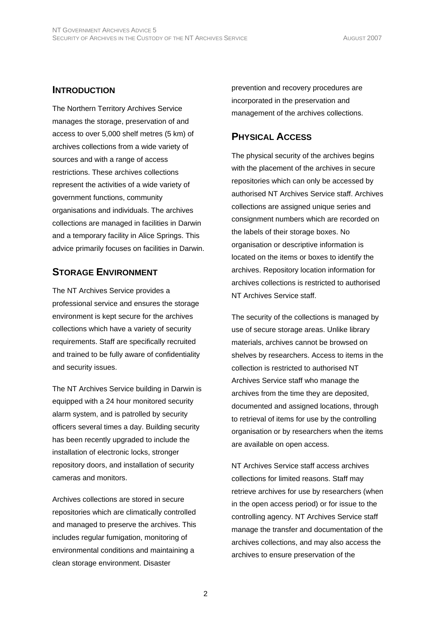#### **INTRODUCTION**

The Northern Territory Archives Service manages the storage, preservation of and access to over 5,000 shelf metres (5 km) of archives collections from a wide variety of sources and with a range of access restrictions. These archives collections represent the activities of a wide variety of government functions, community organisations and individuals. The archives collections are managed in facilities in Darwin and a temporary facility in Alice Springs. This advice primarily focuses on facilities in Darwin.

## **STORAGE ENVIRONMENT**

The NT Archives Service provides a professional service and ensures the storage environment is kept secure for the archives collections which have a variety of security requirements. Staff are specifically recruited and trained to be fully aware of confidentiality and security issues.

The NT Archives Service building in Darwin is equipped with a 24 hour monitored security alarm system, and is patrolled by security officers several times a day. Building security has been recently upgraded to include the installation of electronic locks, stronger repository doors, and installation of security cameras and monitors.

Archives collections are stored in secure repositories which are climatically controlled and managed to preserve the archives. This includes regular fumigation, monitoring of environmental conditions and maintaining a clean storage environment. Disaster

prevention and recovery procedures are incorporated in the preservation and management of the archives collections.

### **PHYSICAL ACCESS**

The physical security of the archives begins with the placement of the archives in secure repositories which can only be accessed by authorised NT Archives Service staff. Archives collections are assigned unique series and consignment numbers which are recorded on the labels of their storage boxes. No organisation or descriptive information is located on the items or boxes to identify the archives. Repository location information for archives collections is restricted to authorised NT Archives Service staff.

The security of the collections is managed by use of secure storage areas. Unlike library materials, archives cannot be browsed on shelves by researchers. Access to items in the collection is restricted to authorised NT Archives Service staff who manage the archives from the time they are deposited, documented and assigned locations, through to retrieval of items for use by the controlling organisation or by researchers when the items are available on open access.

NT Archives Service staff access archives collections for limited reasons. Staff may retrieve archives for use by researchers (when in the open access period) or for issue to the controlling agency. NT Archives Service staff manage the transfer and documentation of the archives collections, and may also access the archives to ensure preservation of the